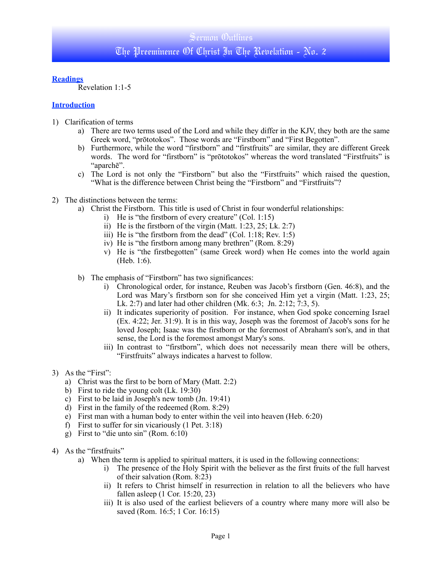## **Readings**

Revelation 1:1-5

## **Introduction**

- 1) Clarification of terms
	- a) There are two terms used of the Lord and while they differ in the KJV, they both are the same Greek word, "prōtotokos". Those words are "Firstborn" and "First Begotten".
	- b) Furthermore, while the word "firstborn" and "firstfruits" are similar, they are different Greek words. The word for "firstborn" is "prōtotokos" whereas the word translated "Firstfruits" is "aparchē".
	- c) The Lord is not only the "Firstborn" but also the "Firstfruits" which raised the question, "What is the difference between Christ being the "Firstborn" and "Firstfruits"?
- 2) The distinctions between the terms:
	- a) Christ the Firstborn. This title is used of Christ in four wonderful relationships:
		- i) He is "the firstborn of every creature" (Col. 1:15)
		- ii) He is the firstborn of the virgin (Matt. 1:23, 25; Lk. 2:7)
		- iii) He is "the firstborn from the dead" (Col. 1:18; Rev. 1:5)
		- iv) He is "the firstborn among many brethren" (Rom. 8:29)
		- v) He is "the firstbegotten" (same Greek word) when He comes into the world again (Heb. 1:6).
	- b) The emphasis of "Firstborn" has two significances:
		- i) Chronological order, for instance, Reuben was Jacob's firstborn (Gen. 46:8), and the Lord was Mary's firstborn son for she conceived Him yet a virgin (Matt. 1:23, 25; Lk. 2:7) and later had other children (Mk. 6:3; Jn. 2:12; 7:3, 5).
		- ii) It indicates superiority of position. For instance, when God spoke concerning Israel (Ex. 4:22; Jer. 31:9). It is in this way, Joseph was the foremost of Jacob's sons for he loved Joseph; Isaac was the firstborn or the foremost of Abraham's son's, and in that sense, the Lord is the foremost amongst Mary's sons.
		- iii) In contrast to "firstborn", which does not necessarily mean there will be others, "Firstfruits" always indicates a harvest to follow.
- 3) As the "First":
	- a) Christ was the first to be born of Mary (Matt. 2:2)
	- b) First to ride the young colt (Lk. 19:30)
	- c) First to be laid in Joseph's new tomb (Jn. 19:41)
	- d) First in the family of the redeemed (Rom. 8:29)
	- e) First man with a human body to enter within the veil into heaven (Heb. 6:20)
	- f) First to suffer for sin vicariously (1 Pet. 3:18)
	- g) First to "die unto sin" (Rom. 6:10)
- 4) As the "firstfruits"
	- a) When the term is applied to spiritual matters, it is used in the following connections:
		- i) The presence of the Holy Spirit with the believer as the first fruits of the full harvest of their salvation (Rom. 8:23)
		- ii) It refers to Christ himself in resurrection in relation to all the believers who have fallen asleep (1 Cor. 15:20, 23)
		- iii) It is also used of the earliest believers of a country where many more will also be saved (Rom. 16:5; 1 Cor. 16:15)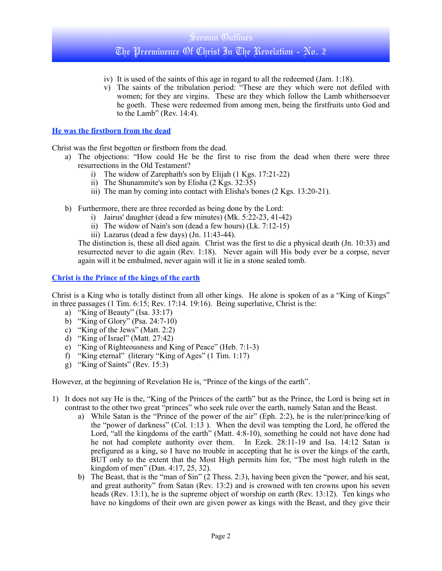# Sermon Outlines The Preeminence Of Christ In The Revelation - No. 2

- iv) It is used of the saints of this age in regard to all the redeemed (Jam. 1:18).
- v) The saints of the tribulation period: "These are they which were not defiled with women; for they are virgins. These are they which follow the Lamb whithersoever he goeth. These were redeemed from among men, being the firstfruits unto God and to the Lamb" (Rev. 14:4).

#### **He was the firstborn from the dead**

Christ was the first begotten or firstborn from the dead.

- a) The objections: "How could He be the first to rise from the dead when there were three resurrections in the Old Testament?
	- i) The widow of Zarephath's son by Elijah (1 Kgs. 17:21-22)
	- ii) The Shunammite's son by Elisha (2 Kgs. 32:35)
	- iii) The man by coming into contact with Elisha's bones (2 Kgs. 13:20-21).
- b) Furthermore, there are three recorded as being done by the Lord:
	- i) Jairus' daughter (dead a few minutes) (Mk. 5:22-23, 41-42)
	- ii) The widow of Nain's son (dead a few hours) (Lk. 7:12-15)
	- iii) Lazarus (dead a few days) (Jn. 11:43-44).

The distinction is, these all died again. Christ was the first to die a physical death (Jn. 10:33) and resurrected never to die again (Rev. 1:18). Never again will His body ever be a corpse, never again will it be embalmed, never again will it lie in a stone sealed tomb.

#### **Christ is the Prince of the kings of the earth**

Christ is a King who is totally distinct from all other kings. He alone is spoken of as a "King of Kings" in three passages (1 Tim. 6:15; Rev. 17:14. 19:16). Being superlative, Christ is the:

- a) "King of Beauty" (Isa. 33:17)
- b) "King of Glory" (Psa. 24:7-10)
- c) "King of the Jews" (Matt. 2:2)
- d) "King of Israel" (Matt. 27:42)
- e) "King of Righteousness and King of Peace" (Heb. 7:1-3)
- f) "King eternal" (literary "King of Ages" (1 Tim. 1:17)
- g) "King of Saints" (Rev. 15:3)

However, at the beginning of Revelation He is, "Prince of the kings of the earth".

- 1) It does not say He is the, "King of the Princes of the earth" but as the Prince, the Lord is being set in contrast to the other two great "princes" who seek rule over the earth, namely Satan and the Beast.
	- a) While Satan is the "Prince of the power of the air" (Eph. 2:2), he is the ruler/prince/king of the "power of darkness" (Col. 1:13 ). When the devil was tempting the Lord, he offered the Lord, "all the kingdoms of the earth" (Matt. 4:8-10), something he could not have done had he not had complete authority over them. In Ezek. 28:11-19 and Isa. 14:12 Satan is prefigured as a king, so I have no trouble in accepting that he is over the kings of the earth, BUT only to the extent that the Most High permits him for, "The most high ruleth in the kingdom of men" (Dan. 4:17, 25, 32).
	- b) The Beast, that is the "man of Sin" (2 Thess. 2:3), having been given the "power, and his seat, and great authority" from Satan (Rev. 13:2) and is crowned with ten crowns upon his seven heads (Rev. 13:1), he is the supreme object of worship on earth (Rev. 13:12). Ten kings who have no kingdoms of their own are given power as kings with the Beast, and they give their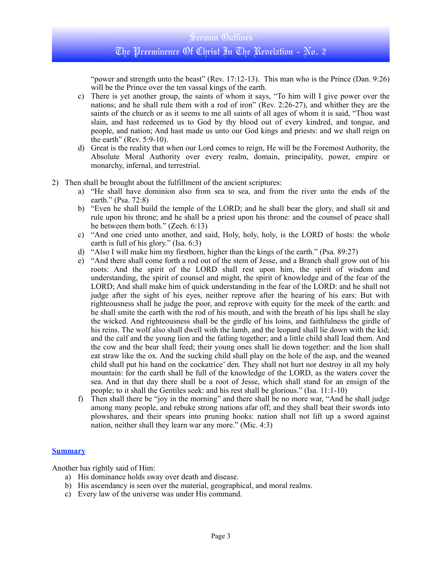# Sermon Outlines The Preeminence Of Christ In The Revelation - No. 2

"power and strength unto the beast" (Rev. 17:12-13). This man who is the Prince (Dan. 9:26) will be the Prince over the ten vassal kings of the earth.

- c) There is yet another group, the saints of whom it says, "To him will I give power over the nations; and he shall rule them with a rod of iron" (Rev. 2:26-27), and whither they are the saints of the church or as it seems to me all saints of all ages of whom it is said, "Thou wast slain, and hast redeemed us to God by thy blood out of every kindred, and tongue, and people, and nation; And hast made us unto our God kings and priests: and we shall reign on the earth" (Rev. 5:9-10).
- d) Great is the reality that when our Lord comes to reign, He will be the Foremost Authority, the Absolute Moral Authority over every realm, domain, principality, power, empire or monarchy, infernal, and terrestrial.
- 2) Then shall be brought about the fulfillment of the ancient scriptures:
	- a) "He shall have dominion also from sea to sea, and from the river unto the ends of the earth." (Psa. 72:8)
	- b) "Even he shall build the temple of the LORD; and he shall bear the glory, and shall sit and rule upon his throne; and he shall be a priest upon his throne: and the counsel of peace shall be between them both." (Zech. 6:13)
	- c) "And one cried unto another, and said, Holy, holy, holy, is the LORD of hosts: the whole earth is full of his glory." (Isa. 6:3)
	- d) "Also I will make him my firstborn, higher than the kings of the earth." (Psa. 89:27)
	- e) "And there shall come forth a rod out of the stem of Jesse, and a Branch shall grow out of his roots: And the spirit of the LORD shall rest upon him, the spirit of wisdom and understanding, the spirit of counsel and might, the spirit of knowledge and of the fear of the LORD; And shall make him of quick understanding in the fear of the LORD: and he shall not judge after the sight of his eyes, neither reprove after the hearing of his ears: But with righteousness shall he judge the poor, and reprove with equity for the meek of the earth: and he shall smite the earth with the rod of his mouth, and with the breath of his lips shall he slay the wicked. And righteousness shall be the girdle of his loins, and faithfulness the girdle of his reins. The wolf also shall dwell with the lamb, and the leopard shall lie down with the kid; and the calf and the young lion and the fatling together; and a little child shall lead them. And the cow and the bear shall feed; their young ones shall lie down together: and the lion shall eat straw like the ox. And the sucking child shall play on the hole of the asp, and the weaned child shall put his hand on the cockatrice' den. They shall not hurt nor destroy in all my holy mountain: for the earth shall be full of the knowledge of the LORD, as the waters cover the sea. And in that day there shall be a root of Jesse, which shall stand for an ensign of the people; to it shall the Gentiles seek: and his rest shall be glorious." (Isa. 11:1-10)
	- f) Then shall there be "joy in the morning" and there shall be no more war, "And he shall judge among many people, and rebuke strong nations afar off; and they shall beat their swords into plowshares, and their spears into pruning hooks: nation shall not lift up a sword against nation, neither shall they learn war any more." (Mic. 4:3)

#### **Summary**

Another has rightly said of Him:

- a) His dominance holds sway over death and disease.
- b) His ascendancy is seen over the material, geographical, and moral realms.
- c) Every law of the universe was under His command.